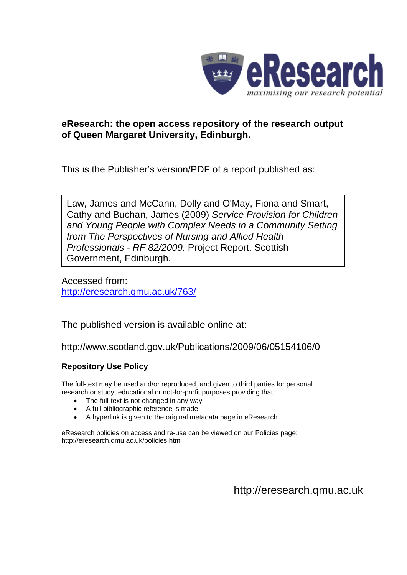

### **eResearch: the open access repository of the research output of Queen Margaret University, Edinburgh.**

This is the Publisher's version/PDF of a report published as:

Law, James and McCann, Dolly and O'May, Fiona and Smart, Cathy and Buchan, James (2009) *Service Provision for Children and Young People with Complex Needs in a Community Setting from The Perspectives of Nursing and Allied Health Professionals - RF 82/2009.* Project Report. Scottish Government, Edinburgh.

Accessed from: <http://eresearch.qmu.ac.uk/763/>

The published version is available online at:

http://www.scotland.gov.uk/Publications/2009/06/05154106/0

#### **Repository Use Policy**

The full-text may be used and/or reproduced, and given to third parties for personal research or study, educational or not-for-profit purposes providing that:

- The full-text is not changed in any way
- A full bibliographic reference is made
- A hyperlink is given to the original metadata page in eResearch

eResearch policies on access and re-use can be viewed on our Policies page: <http://eresearch.qmu.ac.uk/policies.html>

[http://eresearch.qmu.ac.uk](http://eresearch.qmu.ac.uk/)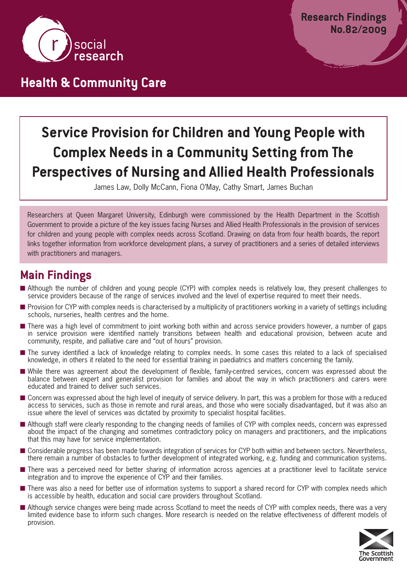

# **Health & Community Care**

# **Service Provision for Children and Young People with Complex Needs in a Community Setting from The Perspectives of Nursing and Allied Health Professionals**

James Law, Dolly McCann, Fiona O'May, Cathy Smart, James Buchan

Researchers at Queen Margaret University, Edinburgh were commissioned by the Health Department in the Scottish Government to provide a picture of the key issues facing Nurses and Allied Health Professionals in the provision of services for children and young people with complex needs across Scotland. Drawing on data from four health boards, the report links together information from workforce development plans, a survey of practitioners and a series of detailed interviews with practitioners and managers.

### **Main Findings**

- Although the number of children and young people (CYP) with complex needs is relatively low, they present challenges to service providers because of the range of services involved and the level of expertise required to meet their needs.
- Provision for CYP with complex needs is characterised by a multiplicity of practitioners working in a variety of settings including schools, nurseries, health centres and the home.
- There was a high level of commitment to joint working both within and across service providers however, a number of gaps in service provision were identified namely transitions between health and educational provision, between acute and community, respite, and palliative care and "out of hours" provision.
- The survey identified a lack of knowledge relating to complex needs. In some cases this related to a lack of specialised knowledge, in others it related to the need for essential training in paediatrics and matters concerning the family.
- **■** While there was agreement about the development of flexible, family-centred services, concern was expressed about the balance between expert and generalist provision for families and about the way in which practitioners and carers were educated and trained to deliver such services.
- Concern was expressed about the high level of inequity of service delivery. In part, this was a problem for those with a reduced access to services, such as those in remote and rural areas, and those who were socially disadvantaged, but it was also an issue where the level of services was dictated by proximity to specialist hospital facilities.
- Although staff were clearly responding to the changing needs of families of CYP with complex needs, concern was expressed about the impact of the changing and sometimes contradictory policy on managers and practitioners, and the implications that this may have for service implementation.
- Considerable progress has been made towards integration of services for CYP both within and between sectors. Nevertheless, there remain a number of obstacles to further development of integrated working, e.g. funding and communication systems.
- There was a perceived need for better sharing of information across agencies at a practitioner level to facilitate service integration and to improve the experience of CYP and their families.
- There was also a need for better use of information systems to support a shared record for CYP with complex needs which is accessible by health, education and social care providers throughout Scotland.
- Although service changes were being made across Scotland to meet the needs of CYP with complex needs, there was a very limited evidence base to inform such changes. More research is needed on the relative effectiveness of different models of provision.

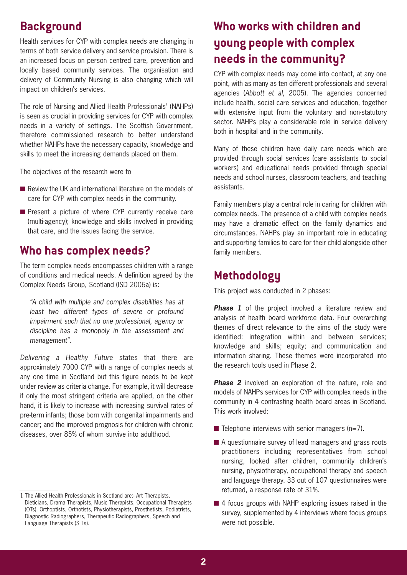# **Background**

Health services for CYP with complex needs are changing in terms of both service delivery and service provision. There is an increased focus on person centred care, prevention and locally based community services. The organisation and delivery of Community Nursing is also changing which will impact on children's services.

The role of Nursing and Allied Health Professionals<sup>1</sup> (NAHPs) is seen as crucial in providing services for CYP with complex needs in a variety of settings. The Scottish Government, therefore commissioned research to better understand whether NAHPs have the necessary capacity, knowledge and skills to meet the increasing demands placed on them.

The objectives of the research were to

- Review the UK and international literature on the models of care for CYP with complex needs in the community.
- Present a picture of where CYP currently receive care (multi-agency); knowledge and skills involved in providing that care, and the issues facing the service.

### **Who has complex needs?**

The term complex needs encompasses children with a range of conditions and medical needs. A definition agreed by the Complex Needs Group, Scotland (ISD 2006a) is:

*"A child with multiple and complex disabilities has at least two different types of severe or profound impairment such that no one professional, agency or discipline has a monopoly in the assessment and management".*

*Delivering a Healthy Future* states that there are approximately 7000 CYP with a range of complex needs at any one time in Scotland but this figure needs to be kept under review as criteria change. For example, it will decrease if only the most stringent criteria are applied, on the other hand, it is likely to increase with increasing survival rates of pre-term infants; those born with congenital impairments and cancer; and the improved prognosis for children with chronic diseases, over 85% of whom survive into adulthood.

# **Who works with children and young people with complex needs in the community?**

CYP with complex needs may come into contact, at any one point, with as many as ten different professionals and several agencies (*Abbott et al*, 2005). The agencies concerned include health, social care services and education, together with extensive input from the voluntary and non-statutory sector. NAHPs play a considerable role in service delivery both in hospital and in the community.

Many of these children have daily care needs which are provided through social services (care assistants to social workers) and educational needs provided through special needs and school nurses, classroom teachers, and teaching assistants.

Family members play a central role in caring for children with complex needs. The presence of a child with complex needs may have a dramatic effect on the family dynamics and circumstances. NAHPs play an important role in educating and supporting families to care for their child alongside other family members.

### **Methodology**

This project was conducted in 2 phases:

**Phase 1** of the project involved a literature review and analysis of health board workforce data. Four overarching themes of direct relevance to the aims of the study were identified: integration within and between services; knowledge and skills; equity; and communication and information sharing. These themes were incorporated into the research tools used in Phase 2.

**Phase 2** involved an exploration of the nature, role and models of NAHPs services for CYP with complex needs in the community in 4 contrasting health board areas in Scotland. This work involved:

- Telephone interviews with senior managers (n=7).
- A questionnaire survey of lead managers and grass roots practitioners including representatives from school nursing, looked after children, community children's nursing, physiotherapy, occupational therapy and speech and language therapy. 33 out of 107 questionnaires were returned, a response rate of 31%.
- 4 focus groups with NAHP exploring issues raised in the survey, supplemented by 4 interviews where focus groups were not possible.

<sup>1</sup> The Allied Health Professionals in Scotland are:- Art Therapists, Dieticians, Drama Therapists, Music Therapists, Occupational Therapists (OTs), Orthoptists, Orthotists, Physiotherapists, Prosthetists, Podiatrists, Diagnostic Radiographers, Therapeutic Radiographers, Speech and Language Therapists (SLTs).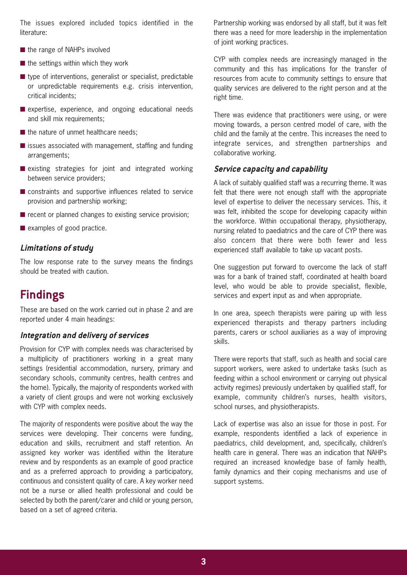The issues explored included topics identified in the literature:

- the range of NAHPs involved
- the settings within which they work
- type of interventions, generalist or specialist, predictable or unpredictable requirements e.g. crisis intervention, critical incidents;
- **■** expertise, experience, and ongoing educational needs and skill mix requirements:
- the nature of unmet healthcare needs:
- issues associated with management, staffing and funding arrangements;
- existing strategies for joint and integrated working between service providers;
- constraints and supportive influences related to service provision and partnership working;
- recent or planned changes to existing service provision;
- examples of good practice.

#### **Limitations of study**

The low response rate to the survey means the findings should be treated with caution.

### **Findings**

These are based on the work carried out in phase 2 and are reported under 4 main headings:

#### **Integration and delivery of services**

Provision for CYP with complex needs was characterised by a multiplicity of practitioners working in a great many settings (residential accommodation, nursery, primary and secondary schools, community centres, health centres and the home). Typically, the majority of respondents worked with a variety of client groups and were not working exclusively with CYP with complex needs.

The majority of respondents were positive about the way the services were developing. Their concerns were funding, education and skills, recruitment and staff retention. An assigned key worker was identified within the literature review and by respondents as an example of good practice and as a preferred approach to providing a participatory, continuous and consistent quality of care. A key worker need not be a nurse or allied health professional and could be selected by both the parent/carer and child or young person, based on a set of agreed criteria.

Partnership working was endorsed by all staff, but it was felt there was a need for more leadership in the implementation of joint working practices.

CYP with complex needs are increasingly managed in the community and this has implications for the transfer of resources from acute to community settings to ensure that quality services are delivered to the right person and at the right time.

There was evidence that practitioners were using, or were moving towards, a person centred model of care, with the child and the family at the centre. This increases the need to integrate services, and strengthen partnerships and collaborative working.

#### **Service capacity and capability**

A lack of suitably qualified staff was a recurring theme. It was felt that there were not enough staff with the appropriate level of expertise to deliver the necessary services. This, it was felt, inhibited the scope for developing capacity within the workforce. Within occupational therapy, physiotherapy, nursing related to paediatrics and the care of CYP there was also concern that there were both fewer and less experienced staff available to take up vacant posts.

One suggestion put forward to overcome the lack of staff was for a bank of trained staff, coordinated at health board level, who would be able to provide specialist, flexible, services and expert input as and when appropriate.

In one area, speech therapists were pairing up with less experienced therapists and therapy partners including parents, carers or school auxiliaries as a way of improving skills.

There were reports that staff, such as health and social care support workers, were asked to undertake tasks (such as feeding within a school environment or carrying out physical activity regimes) previously undertaken by qualified staff, for example, community children's nurses, health visitors, school nurses, and physiotherapists.

Lack of expertise was also an issue for those in post. For example, respondents identified a lack of experience in paediatrics, child development, and, specifically, children's health care in general. There was an indication that NAHPs required an increased knowledge base of family health, family dynamics and their coping mechanisms and use of support systems.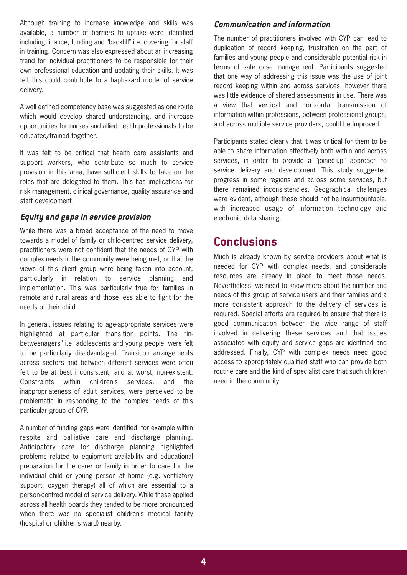Although training to increase knowledge and skills was available, a number of barriers to uptake were identified including finance, funding and "backfill" i.e. covering for staff in training. Concern was also expressed about an increasing trend for individual practitioners to be responsible for their own professional education and updating their skills. It was felt this could contribute to a haphazard model of service delivery.

A well defined competency base was suggested as one route which would develop shared understanding, and increase opportunities for nurses and allied health professionals to be educated/trained together.

It was felt to be critical that health care assistants and support workers, who contribute so much to service provision in this area, have sufficient skills to take on the roles that are delegated to them. This has implications for risk management, clinical governance, quality assurance and staff development

#### **Equity and gaps in service provision**

While there was a broad acceptance of the need to move towards a model of family or child-centred service delivery, practitioners were not confident that the needs of CYP with complex needs in the community were being met, or that the views of this client group were being taken into account, particularly in relation to service planning and implementation. This was particularly true for families in remote and rural areas and those less able to fight for the needs of their child

In general, issues relating to age-appropriate services were highlighted at particular transition points. The "inbetweenagers" i.e. adolescents and young people, were felt to be particularly disadvantaged. Transition arrangements across sectors and between different services were often felt to be at best inconsistent, and at worst, non-existent. Constraints within children's services, and the inappropriateness of adult services, were perceived to be problematic in responding to the complex needs of this particular group of CYP.

A number of funding gaps were identified, for example within respite and palliative care and discharge planning. Anticipatory care for discharge planning highlighted problems related to equipment availability and educational preparation for the carer or family in order to care for the individual child or young person at home (e.g. ventilatory support, oxygen therapy) all of which are essential to a person-centred model of service delivery. While these applied across all health boards they tended to be more pronounced when there was no specialist children's medical facility (hospital or children's ward) nearby.

#### **Communication and information**

The number of practitioners involved with CYP can lead to duplication of record keeping, frustration on the part of families and young people and considerable potential risk in terms of safe case management. Participants suggested that one way of addressing this issue was the use of joint record keeping within and across services, however there was little evidence of shared assessments in use. There was a view that vertical and horizontal transmission of information within professions, between professional groups, and across multiple service providers, could be improved.

Participants stated clearly that it was critical for them to be able to share information effectively both within and across services, in order to provide a "joined-up" approach to service delivery and development. This study suggested progress in some regions and across some services, but there remained inconsistencies. Geographical challenges were evident, although these should not be insurmountable, with increased usage of information technology and electronic data sharing.

### **Conclusions**

Much is already known by service providers about what is needed for CYP with complex needs, and considerable resources are already in place to meet those needs. Nevertheless, we need to know more about the number and needs of this group of service users and their families and a more consistent approach to the delivery of services is required. Special efforts are required to ensure that there is good communication between the wide range of staff involved in delivering these services and that issues associated with equity and service gaps are identified and addressed. Finally, CYP with complex needs need good access to appropriately qualified staff who can provide both routine care and the kind of specialist care that such children need in the community.